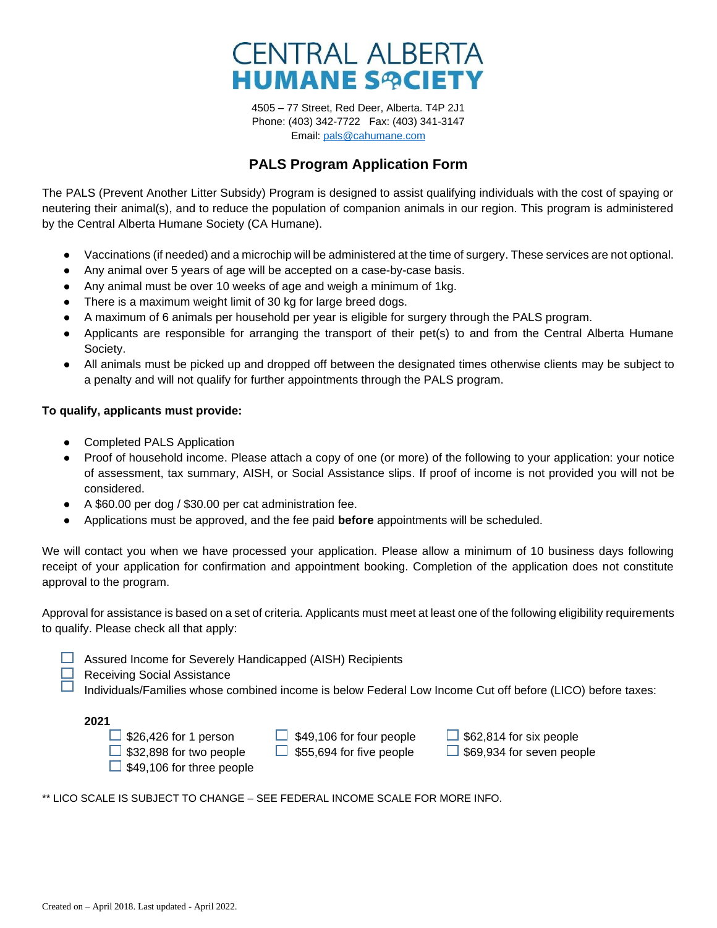

4505 – 77 Street, Red Deer, Alberta. T4P 2J1 Phone: (403) 342-7722 Fax: (403) 341-3147 Email: [pals@cahumane.com](mailto:pals@cahumane.com)

## **PALS Program Application Form**

The PALS (Prevent Another Litter Subsidy) Program is designed to assist qualifying individuals with the cost of spaying or neutering their animal(s), and to reduce the population of companion animals in our region. This program is administered by the Central Alberta Humane Society (CA Humane).

- Vaccinations (if needed) and a microchip will be administered at the time of surgery. These services are not optional.
- Any animal over 5 years of age will be accepted on a case-by-case basis.
- Any animal must be over 10 weeks of age and weigh a minimum of 1kg.
- There is a maximum weight limit of 30 kg for large breed dogs.
- A maximum of 6 animals per household per year is eligible for surgery through the PALS program.
- Applicants are responsible for arranging the transport of their pet(s) to and from the Central Alberta Humane Society.
- All animals must be picked up and dropped off between the designated times otherwise clients may be subject to a penalty and will not qualify for further appointments through the PALS program.

## **To qualify, applicants must provide:**

- Completed PALS Application
- Proof of household income. Please attach a copy of one (or more) of the following to your application: your notice of assessment, tax summary, AISH, or Social Assistance slips. If proof of income is not provided you will not be considered.
- A \$60.00 per dog / \$30.00 per cat administration fee.
- Applications must be approved, and the fee paid **before** appointments will be scheduled.

We will contact you when we have processed your application. Please allow a minimum of 10 business days following receipt of your application for confirmation and appointment booking. Completion of the application does not constitute approval to the program.

Approval for assistance is based on a set of criteria. Applicants must meet at least one of the following eligibility requirements to qualify. Please check all that apply:

- $\Box$  Assured Income for Severely Handicapped (AISH) Recipients
	- Receiving Social Assistance
		- Individuals/Families whose combined income is below Federal Low Income Cut off before (LICO) before taxes:

 $\Box$  \$26,426 for 1 person  $\Box$  \$49,106 for four people  $\Box$  \$62,814 for six people  $\Box$  \$32,898 for two people  $\Box$  \$55,694 for five people  $\Box$  \$69,934 for seven people  $\Box$  \$49,106 for three people

\*\* LICO SCALE IS SUBJECT TO CHANGE – SEE FEDERAL INCOME SCALE FOR MORE INFO.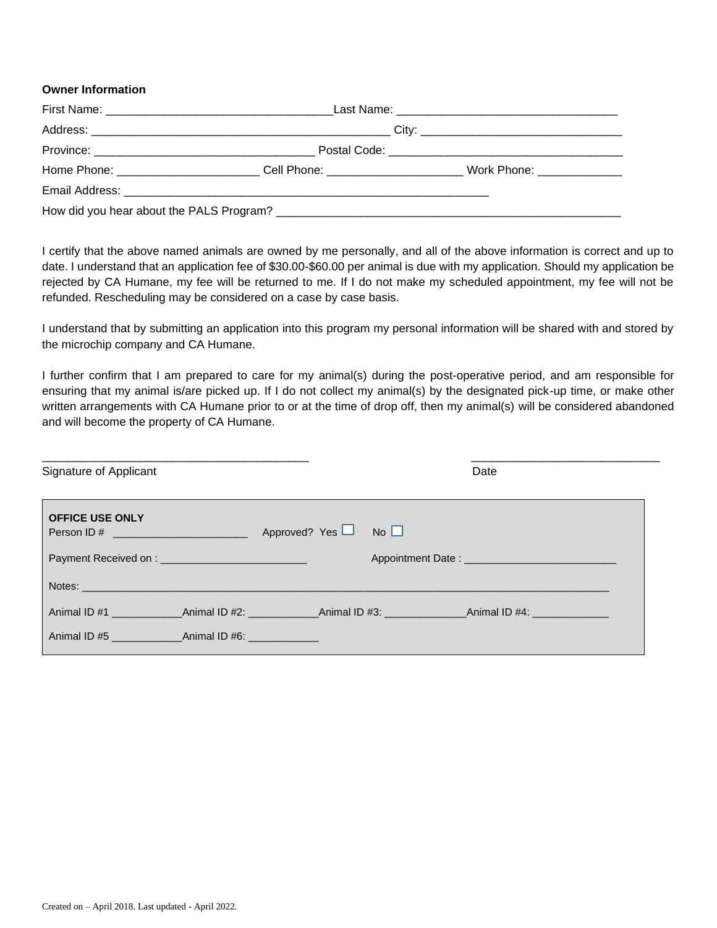## **Owner Information**

| Home Phone: __________________________Cell Phone: ______________________________ | Work Phone: _______________ |
|----------------------------------------------------------------------------------|-----------------------------|
|                                                                                  |                             |
|                                                                                  |                             |

I certify that the above named animals are owned by me personally, and all of the above information is correct and up to date. I understand that an application fee of \$30.00-\$60.00 per animal is due with my application. Should my application be rejected by CA Humane, my fee will be returned to me. If I do not make my scheduled appointment, my fee will not be refunded. Rescheduling may be considered on a case by case basis.

I understand that by submitting an application into this program my personal information will be shared with and stored by the microchip company and CA Humane.

I further confirm that I am prepared to care for my animal(s) during the post-operative period, and am responsible for ensuring that my animal is/are picked up. If I do not collect my animal(s) by the designated pick-up time, or make other written arrangements with CA Humane prior to or at the time of drop off, then my animal(s) will be considered abandoned and will become the property of CA Humane.

| Signature of Applicant                                           | Date                           |
|------------------------------------------------------------------|--------------------------------|
| <b>OFFICE USE ONLY</b><br>Person ID # __________________________ | Approved? Yes $\Box$ No $\Box$ |
| <b>Payment Received on: Example 2018</b>                         |                                |
| Notes:                                                           |                                |
|                                                                  |                                |
|                                                                  |                                |